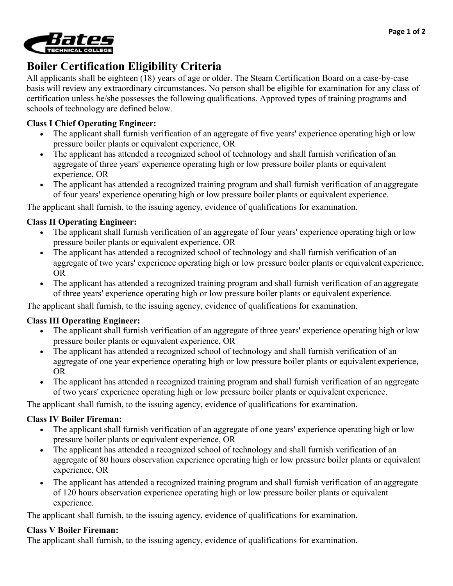

# **Boiler Certification Eligibility Criteria**

All applicants shall be eighteen (18) years of age or older. The Steam Certification Board on a case-by-case basis will review any extraordinary circumstances. No person shall be eligible for examination for any class of certification unless he/she possesses the following qualifications. Approved types of training programs and schools of technology are defined below.

## **Class I Chief Operating Engineer:**

- The applicant shall furnish verification of an aggregate of five years' experience operating high or low pressure boiler plants or equivalent experience, OR
- The applicant has attended a recognized school of technology and shall furnish verification of an aggregate of three years' experience operating high or low pressure boiler plants or equivalent experience, OR
- The applicant has attended a recognized training program and shall furnish verification of an aggregate of four years' experience operating high or low pressure boiler plants or equivalent experience.

The applicant shall furnish, to the issuing agency, evidence of qualifications for examination.

## **Class II Operating Engineer:**

- The applicant shall furnish verification of an aggregate of four years' experience operating high or low pressure boiler plants or equivalent experience, OR
- The applicant has attended a recognized school of technology and shall furnish verification of an aggregate of two years' experience operating high or low pressure boiler plants or equivalent experience, OR
- The applicant has attended a recognized training program and shall furnish verification of an aggregate of three years' experience operating high or low pressure boiler plants or equivalent experience.

The applicant shall furnish, to the issuing agency, evidence of qualifications for examination.

## **Class III Operating Engineer:**

- The applicant shall furnish verification of an aggregate of three years' experience operating high or low pressure boiler plants or equivalent experience, OR
- The applicant has attended a recognized school of technology and shall furnish verification of an aggregate of one year experience operating high or low pressure boiler plants or equivalent experience, OR
- The applicant has attended a recognized training program and shall furnish verification of an aggregate of two years' experience operating high or low pressure boiler plants or equivalent experience.

The applicant shall furnish, to the issuing agency, evidence of qualifications for examination.

## **Class IV Boiler Fireman:**

- The applicant shall furnish verification of an aggregate of one years' experience operating high or low pressure boiler plants or equivalent experience, OR
- The applicant has attended a recognized school of technology and shall furnish verification of an aggregate of 80 hours observation experience operating high or low pressure boiler plants or equivalent experience, OR
- The applicant has attended a recognized training program and shall furnish verification of an aggregate of 120 hours observation experience operating high or low pressure boiler plants or equivalent experience.

The applicant shall furnish, to the issuing agency, evidence of qualifications for examination.

### **Class V Boiler Fireman:**

The applicant shall furnish, to the issuing agency, evidence of qualifications for examination.